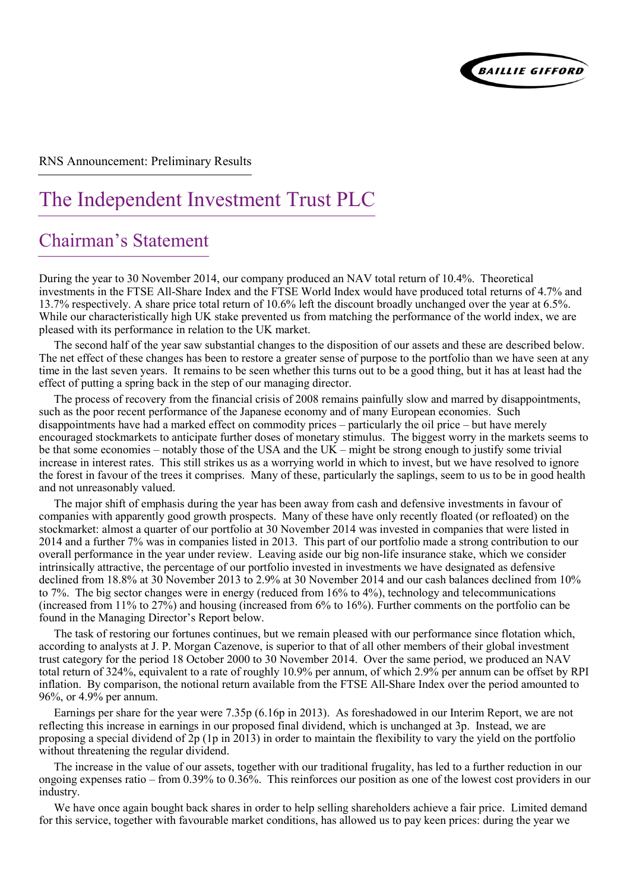

RNS Announcement: Preliminary Results

# The Independent Investment Trust PLC

## Chairman's Statement

During the year to 30 November 2014, our company produced an NAV total return of 10.4%. Theoretical investments in the FTSE All-Share Index and the FTSE World Index would have produced total returns of 4.7% and 13.7% respectively. A share price total return of 10.6% left the discount broadly unchanged over the year at 6.5%. While our characteristically high UK stake prevented us from matching the performance of the world index, we are pleased with its performance in relation to the UK market.

The second half of the year saw substantial changes to the disposition of our assets and these are described below. The net effect of these changes has been to restore a greater sense of purpose to the portfolio than we have seen at any time in the last seven years. It remains to be seen whether this turns out to be a good thing, but it has at least had the effect of putting a spring back in the step of our managing director.

The process of recovery from the financial crisis of 2008 remains painfully slow and marred by disappointments, such as the poor recent performance of the Japanese economy and of many European economies. Such disappointments have had a marked effect on commodity prices – particularly the oil price – but have merely encouraged stockmarkets to anticipate further doses of monetary stimulus. The biggest worry in the markets seems to be that some economies – notably those of the USA and the UK – might be strong enough to justify some trivial increase in interest rates. This still strikes us as a worrying world in which to invest, but we have resolved to ignore the forest in favour of the trees it comprises. Many of these, particularly the saplings, seem to us to be in good health and not unreasonably valued.

The major shift of emphasis during the year has been away from cash and defensive investments in favour of companies with apparently good growth prospects. Many of these have only recently floated (or refloated) on the stockmarket: almost a quarter of our portfolio at 30 November 2014 was invested in companies that were listed in 2014 and a further 7% was in companies listed in 2013. This part of our portfolio made a strong contribution to our overall performance in the year under review. Leaving aside our big non-life insurance stake, which we consider intrinsically attractive, the percentage of our portfolio invested in investments we have designated as defensive declined from 18.8% at 30 November 2013 to 2.9% at 30 November 2014 and our cash balances declined from 10% to 7%. The big sector changes were in energy (reduced from 16% to 4%), technology and telecommunications (increased from 11% to 27%) and housing (increased from 6% to 16%). Further comments on the portfolio can be found in the Managing Director's Report below.

The task of restoring our fortunes continues, but we remain pleased with our performance since flotation which, according to analysts at J. P. Morgan Cazenove, is superior to that of all other members of their global investment trust category for the period 18 October 2000 to 30 November 2014. Over the same period, we produced an NAV total return of 324%, equivalent to a rate of roughly 10.9% per annum, of which 2.9% per annum can be offset by RPI inflation. By comparison, the notional return available from the FTSE All-Share Index over the period amounted to 96%, or 4.9% per annum.

Earnings per share for the year were 7.35p (6.16p in 2013). As foreshadowed in our Interim Report, we are not reflecting this increase in earnings in our proposed final dividend, which is unchanged at 3p. Instead, we are proposing a special dividend of 2p (1p in 2013) in order to maintain the flexibility to vary the yield on the portfolio without threatening the regular dividend.

The increase in the value of our assets, together with our traditional frugality, has led to a further reduction in our ongoing expenses ratio – from 0.39% to 0.36%. This reinforces our position as one of the lowest cost providers in our industry.

We have once again bought back shares in order to help selling shareholders achieve a fair price. Limited demand for this service, together with favourable market conditions, has allowed us to pay keen prices: during the year we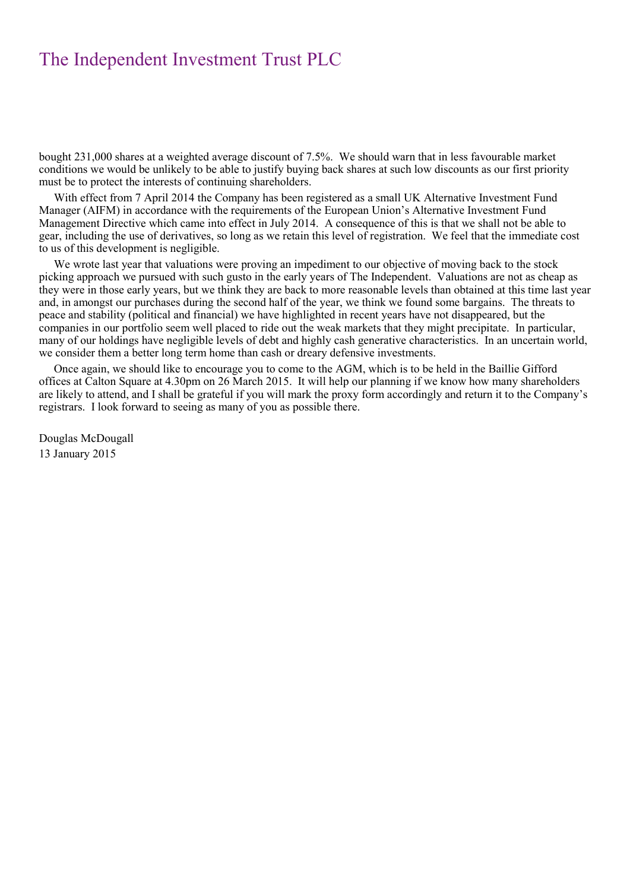bought 231,000 shares at a weighted average discount of 7.5%. We should warn that in less favourable market conditions we would be unlikely to be able to justify buying back shares at such low discounts as our first priority must be to protect the interests of continuing shareholders.

With effect from 7 April 2014 the Company has been registered as a small UK Alternative Investment Fund Manager (AIFM) in accordance with the requirements of the European Union's Alternative Investment Fund Management Directive which came into effect in July 2014. A consequence of this is that we shall not be able to gear, including the use of derivatives, so long as we retain this level of registration. We feel that the immediate cost to us of this development is negligible.

We wrote last year that valuations were proving an impediment to our objective of moving back to the stock picking approach we pursued with such gusto in the early years of The Independent. Valuations are not as cheap as they were in those early years, but we think they are back to more reasonable levels than obtained at this time last year and, in amongst our purchases during the second half of the year, we think we found some bargains. The threats to peace and stability (political and financial) we have highlighted in recent years have not disappeared, but the companies in our portfolio seem well placed to ride out the weak markets that they might precipitate. In particular, many of our holdings have negligible levels of debt and highly cash generative characteristics. In an uncertain world, we consider them a better long term home than cash or dreary defensive investments.

Once again, we should like to encourage you to come to the AGM, which is to be held in the Baillie Gifford offices at Calton Square at 4.30pm on 26 March 2015. It will help our planning if we know how many shareholders are likely to attend, and I shall be grateful if you will mark the proxy form accordingly and return it to the Company's registrars. I look forward to seeing as many of you as possible there.

Douglas McDougall 13 January 2015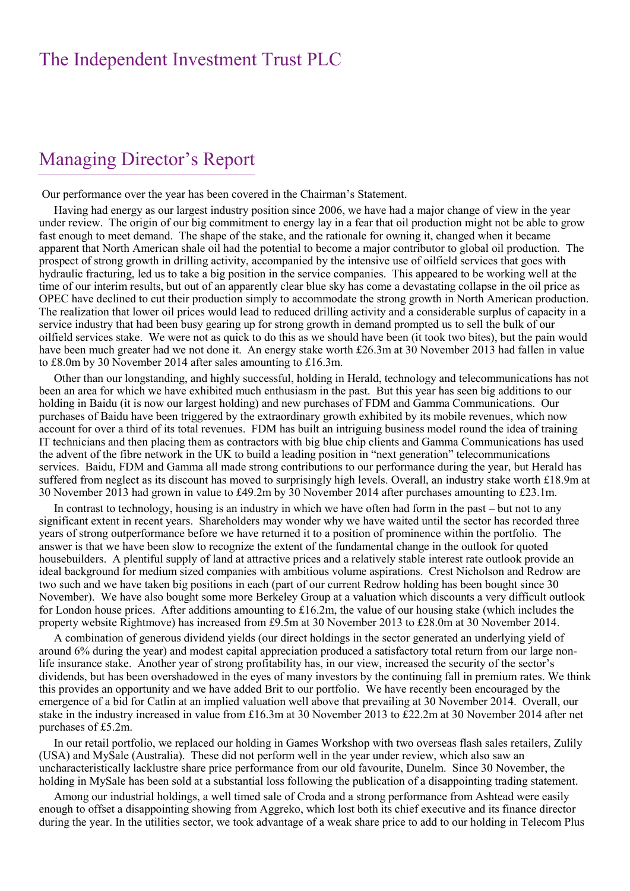### Managing Director's Report

Our performance over the year has been covered in the Chairman's Statement.

Having had energy as our largest industry position since 2006, we have had a major change of view in the year under review. The origin of our big commitment to energy lay in a fear that oil production might not be able to grow fast enough to meet demand. The shape of the stake, and the rationale for owning it, changed when it became apparent that North American shale oil had the potential to become a major contributor to global oil production. The prospect of strong growth in drilling activity, accompanied by the intensive use of oilfield services that goes with hydraulic fracturing, led us to take a big position in the service companies. This appeared to be working well at the time of our interim results, but out of an apparently clear blue sky has come a devastating collapse in the oil price as OPEC have declined to cut their production simply to accommodate the strong growth in North American production. The realization that lower oil prices would lead to reduced drilling activity and a considerable surplus of capacity in a service industry that had been busy gearing up for strong growth in demand prompted us to sell the bulk of our oilfield services stake. We were not as quick to do this as we should have been (it took two bites), but the pain would have been much greater had we not done it. An energy stake worth £26.3m at 30 November 2013 had fallen in value to £8.0m by 30 November 2014 after sales amounting to £16.3m.

Other than our longstanding, and highly successful, holding in Herald, technology and telecommunications has not been an area for which we have exhibited much enthusiasm in the past. But this year has seen big additions to our holding in Baidu (it is now our largest holding) and new purchases of FDM and Gamma Communications. Our purchases of Baidu have been triggered by the extraordinary growth exhibited by its mobile revenues, which now account for over a third of its total revenues. FDM has built an intriguing business model round the idea of training IT technicians and then placing them as contractors with big blue chip clients and Gamma Communications has used the advent of the fibre network in the UK to build a leading position in "next generation" telecommunications services. Baidu, FDM and Gamma all made strong contributions to our performance during the year, but Herald has suffered from neglect as its discount has moved to surprisingly high levels. Overall, an industry stake worth £18.9m at 30 November 2013 had grown in value to £49.2m by 30 November 2014 after purchases amounting to £23.1m.

In contrast to technology, housing is an industry in which we have often had form in the past – but not to any significant extent in recent years. Shareholders may wonder why we have waited until the sector has recorded three years of strong outperformance before we have returned it to a position of prominence within the portfolio. The answer is that we have been slow to recognize the extent of the fundamental change in the outlook for quoted housebuilders. A plentiful supply of land at attractive prices and a relatively stable interest rate outlook provide an ideal background for medium sized companies with ambitious volume aspirations. Crest Nicholson and Redrow are two such and we have taken big positions in each (part of our current Redrow holding has been bought since 30 November). We have also bought some more Berkeley Group at a valuation which discounts a very difficult outlook for London house prices. After additions amounting to £16.2m, the value of our housing stake (which includes the property website Rightmove) has increased from £9.5m at 30 November 2013 to £28.0m at 30 November 2014.

A combination of generous dividend yields (our direct holdings in the sector generated an underlying yield of around 6% during the year) and modest capital appreciation produced a satisfactory total return from our large nonlife insurance stake. Another year of strong profitability has, in our view, increased the security of the sector's dividends, but has been overshadowed in the eyes of many investors by the continuing fall in premium rates. We think this provides an opportunity and we have added Brit to our portfolio. We have recently been encouraged by the emergence of a bid for Catlin at an implied valuation well above that prevailing at 30 November 2014. Overall, our stake in the industry increased in value from £16.3m at 30 November 2013 to £22.2m at 30 November 2014 after net purchases of £5.2m.

In our retail portfolio, we replaced our holding in Games Workshop with two overseas flash sales retailers, Zulily (USA) and MySale (Australia). These did not perform well in the year under review, which also saw an uncharacteristically lacklustre share price performance from our old favourite, Dunelm. Since 30 November, the holding in MySale has been sold at a substantial loss following the publication of a disappointing trading statement.

Among our industrial holdings, a well timed sale of Croda and a strong performance from Ashtead were easily enough to offset a disappointing showing from Aggreko, which lost both its chief executive and its finance director during the year. In the utilities sector, we took advantage of a weak share price to add to our holding in Telecom Plus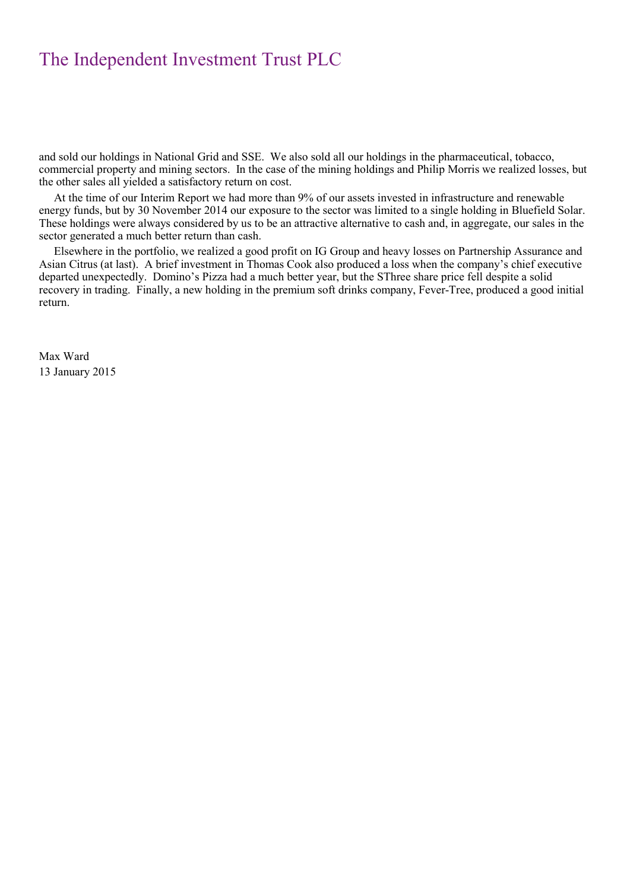and sold our holdings in National Grid and SSE. We also sold all our holdings in the pharmaceutical, tobacco, commercial property and mining sectors. In the case of the mining holdings and Philip Morris we realized losses, but the other sales all yielded a satisfactory return on cost.

At the time of our Interim Report we had more than 9% of our assets invested in infrastructure and renewable energy funds, but by 30 November 2014 our exposure to the sector was limited to a single holding in Bluefield Solar. These holdings were always considered by us to be an attractive alternative to cash and, in aggregate, our sales in the sector generated a much better return than cash.

Elsewhere in the portfolio, we realized a good profit on IG Group and heavy losses on Partnership Assurance and Asian Citrus (at last). A brief investment in Thomas Cook also produced a loss when the company's chief executive departed unexpectedly. Domino's Pizza had a much better year, but the SThree share price fell despite a solid recovery in trading. Finally, a new holding in the premium soft drinks company, Fever-Tree, produced a good initial return.

Max Ward 13 January 2015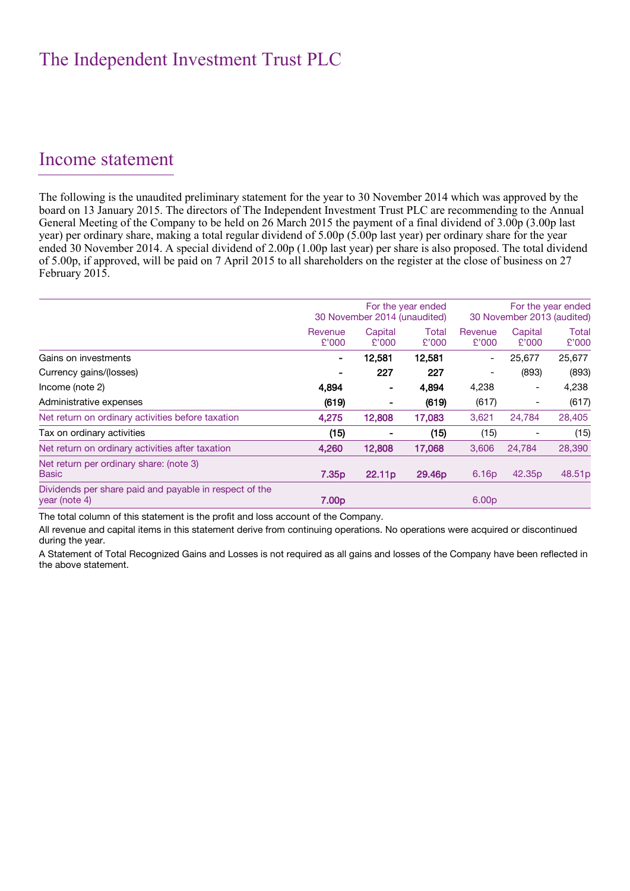#### Income statement

The following is the unaudited preliminary statement for the year to 30 November 2014 which was approved by the board on 13 January 2015. The directors of The Independent Investment Trust PLC are recommending to the Annual General Meeting of the Company to be held on 26 March 2015 the payment of a final dividend of 3.00p (3.00p last year) per ordinary share, making a total regular dividend of 5.00p (5.00p last year) per ordinary share for the year ended 30 November 2014. A special dividend of 2.00p (1.00p last year) per share is also proposed. The total dividend of 5.00p, if approved, will be paid on 7 April 2015 to all shareholders on the register at the close of business on 27 February 2015.

|                                                                         |                   | 30 November 2014 (unaudited) | For the year ended | For the year ended<br>30 November 2013 (audited) |                          |                    |
|-------------------------------------------------------------------------|-------------------|------------------------------|--------------------|--------------------------------------------------|--------------------------|--------------------|
|                                                                         | Revenue<br>£'000  | Capital<br>£'000             | Total<br>£'000     | Revenue<br>£'000                                 | Capital<br>£'000         | Total<br>£'000     |
| Gains on investments                                                    |                   | 12,581                       | 12,581             | $\overline{\phantom{a}}$                         | 25,677                   | 25,677             |
| Currency gains/(losses)                                                 |                   | 227                          | 227                | $\overline{\phantom{a}}$                         | (893)                    | (893)              |
| Income (note 2)                                                         | 4,894             |                              | 4,894              | 4,238                                            | $\overline{\phantom{a}}$ | 4,238              |
| Administrative expenses                                                 | (619)             |                              | (619)              | (617)                                            | $\overline{\phantom{a}}$ | (617)              |
| Net return on ordinary activities before taxation                       | 4,275             | 12,808                       | 17,083             | 3,621                                            | 24,784                   | 28,405             |
| Tax on ordinary activities                                              | (15)              |                              | (15)               | (15)                                             |                          | (15)               |
| Net return on ordinary activities after taxation                        | 4,260             | 12,808                       | 17,068             | 3,606                                            | 24,784                   | 28,390             |
| Net return per ordinary share: (note 3)<br><b>Basic</b>                 | 7.35 <sub>p</sub> | 22.11 <sub>p</sub>           | 29.46p             | 6.16 <sub>p</sub>                                | 42.35 <sub>p</sub>       | 48.51 <sub>p</sub> |
| Dividends per share paid and payable in respect of the<br>year (note 4) | 7.00 <sub>p</sub> |                              |                    | 6.00 <sub>p</sub>                                |                          |                    |

The total column of this statement is the profit and loss account of the Company.

All revenue and capital items in this statement derive from continuing operations. No operations were acquired or discontinued during the year.

A Statement of Total Recognized Gains and Losses is not required as all gains and losses of the Company have been reflected in the above statement.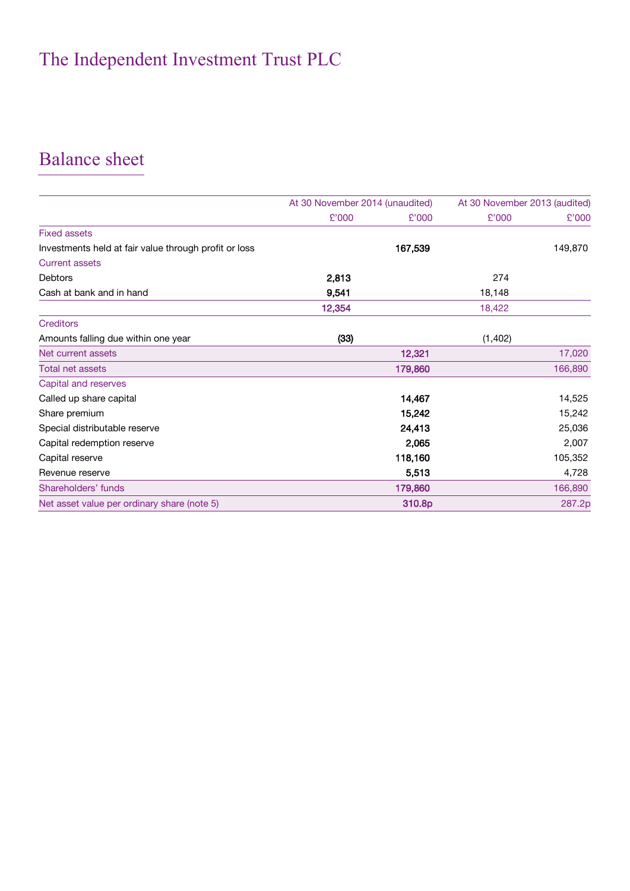## Balance sheet

|                                                       | At 30 November 2014 (unaudited) |         | At 30 November 2013 (audited) |         |
|-------------------------------------------------------|---------------------------------|---------|-------------------------------|---------|
|                                                       | £'000                           | £'000   | £'000                         | £'000   |
| <b>Fixed assets</b>                                   |                                 |         |                               |         |
| Investments held at fair value through profit or loss |                                 | 167,539 |                               | 149,870 |
| <b>Current assets</b>                                 |                                 |         |                               |         |
| <b>Debtors</b>                                        | 2,813                           |         | 274                           |         |
| Cash at bank and in hand                              | 9,541                           |         | 18,148                        |         |
|                                                       | 12,354                          |         | 18,422                        |         |
| <b>Creditors</b>                                      |                                 |         |                               |         |
| Amounts falling due within one year                   | (33)                            |         | (1, 402)                      |         |
| Net current assets                                    |                                 | 12,321  |                               | 17,020  |
| <b>Total net assets</b>                               |                                 | 179,860 |                               | 166,890 |
| Capital and reserves                                  |                                 |         |                               |         |
| Called up share capital                               |                                 | 14,467  |                               | 14,525  |
| Share premium                                         |                                 | 15,242  |                               | 15,242  |
| Special distributable reserve                         |                                 | 24,413  |                               | 25,036  |
| Capital redemption reserve                            |                                 | 2,065   |                               | 2,007   |
| Capital reserve                                       |                                 | 118,160 |                               | 105,352 |
| Revenue reserve                                       |                                 | 5,513   |                               | 4,728   |
| Shareholders' funds                                   |                                 | 179,860 |                               | 166,890 |
| Net asset value per ordinary share (note 5)           |                                 | 310.8p  |                               | 287.2p  |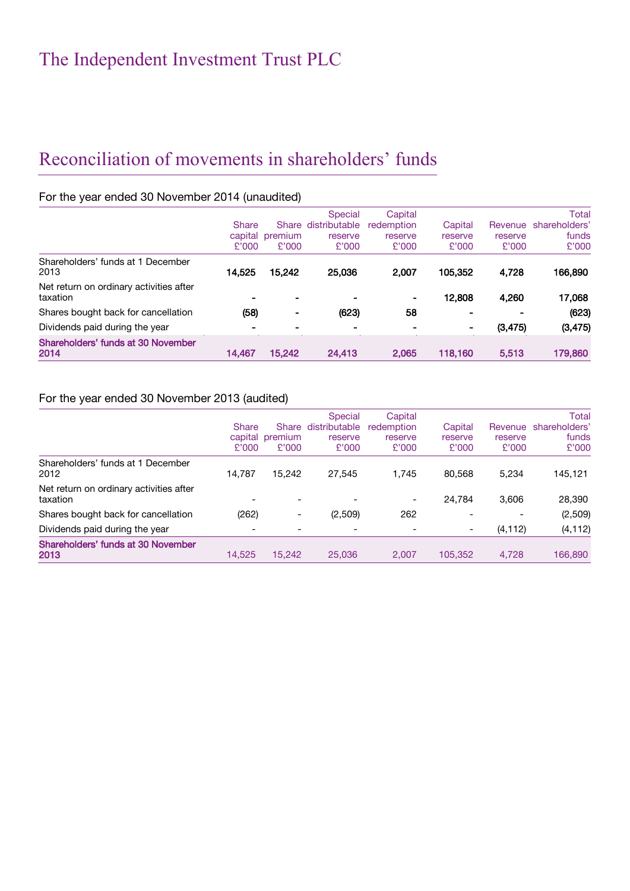## Reconciliation of movements in shareholders' funds

#### For the year ended 30 November 2014 (unaudited)

|                                                     | Share<br>capital<br>£'000 | premium<br>£'000 | Special<br>Share distributable<br>reserve<br>£'000 | Capital<br>redemption<br>reserve<br>£'000 | Capital<br>reserve<br>£'000 | Revenue<br>reserve<br>£'000 | Total<br>shareholders'<br>funds<br>£'000 |
|-----------------------------------------------------|---------------------------|------------------|----------------------------------------------------|-------------------------------------------|-----------------------------|-----------------------------|------------------------------------------|
| Shareholders' funds at 1 December<br>2013           | 14,525                    | 15,242           | 25,036                                             | 2,007                                     | 105,352                     | 4,728                       | 166,890                                  |
| Net return on ordinary activities after<br>taxation |                           |                  |                                                    |                                           | 12,808                      | 4,260                       | 17,068                                   |
| Shares bought back for cancellation                 | (58)                      | ۰                | (623)                                              | 58                                        | $\blacksquare$              |                             | (623)                                    |
| Dividends paid during the year                      |                           |                  |                                                    |                                           | ٠                           | (3, 475)                    | (3, 475)                                 |
| Shareholders' funds at 30 November<br>2014          | 14,467                    | 15,242           | 24,413                                             | 2,065                                     | 118,160                     | 5,513                       | 179,860                                  |

#### For the year ended 30 November 2013 (audited)

|                                                     | <b>Share</b><br>capital<br>£'000 | premium<br>£'000 | Special<br>Share distributable<br>reserve<br>£'000 | Capital<br>redemption<br>reserve<br>£'000 | Capital<br>reserve<br>£'000 | Revenue<br>reserve<br>£'000 | Total<br>shareholders'<br>funds<br>£'000 |
|-----------------------------------------------------|----------------------------------|------------------|----------------------------------------------------|-------------------------------------------|-----------------------------|-----------------------------|------------------------------------------|
| Shareholders' funds at 1 December<br>2012           | 14.787                           | 15,242           | 27.545                                             | 1,745                                     | 80.568                      | 5,234                       | 145,121                                  |
| Net return on ordinary activities after<br>taxation |                                  |                  |                                                    |                                           | 24.784                      | 3.606                       | 28,390                                   |
| Shares bought back for cancellation                 | (262)                            | -                | (2,509)                                            | 262                                       | -                           |                             | (2,509)                                  |
| Dividends paid during the year                      |                                  |                  |                                                    |                                           | $\overline{\phantom{a}}$    | (4, 112)                    | (4, 112)                                 |
| Shareholders' funds at 30 November<br>2013          | 14,525                           | 15,242           | 25,036                                             | 2.007                                     | 105,352                     | 4,728                       | 166,890                                  |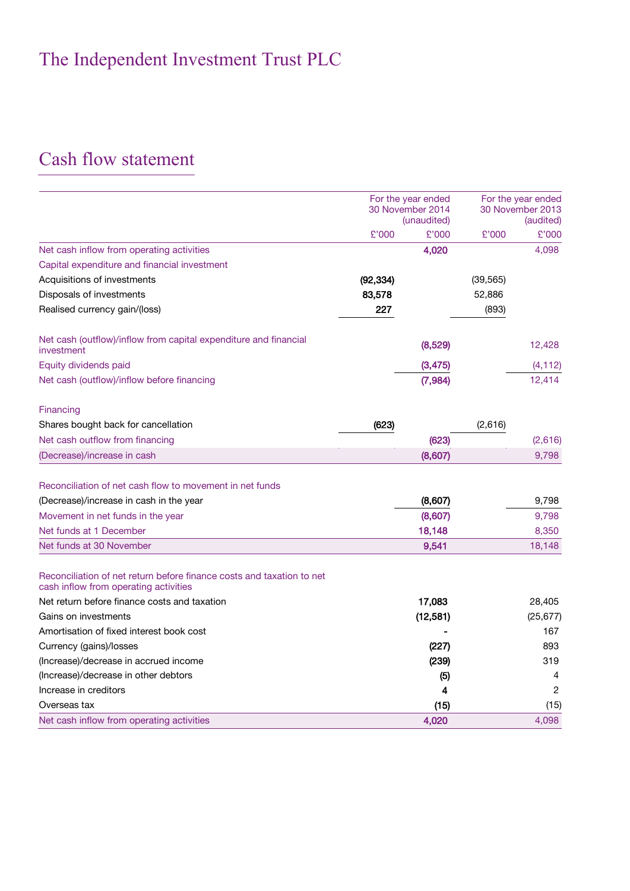## Cash flow statement

|                                                                                                                | For the year ended<br>30 November 2014 |           |           | For the year ended<br>30 November 2013 |
|----------------------------------------------------------------------------------------------------------------|----------------------------------------|-----------|-----------|----------------------------------------|
|                                                                                                                | (unaudited)                            |           |           | (audited)                              |
|                                                                                                                | £'000                                  | £'000     | £'000     | £'000                                  |
| Net cash inflow from operating activities                                                                      |                                        | 4,020     |           | 4,098                                  |
| Capital expenditure and financial investment                                                                   |                                        |           |           |                                        |
| Acquisitions of investments                                                                                    | (92, 334)                              |           | (39, 565) |                                        |
| Disposals of investments                                                                                       | 83,578                                 |           | 52,886    |                                        |
| Realised currency gain/(loss)                                                                                  | 227                                    |           | (893)     |                                        |
| Net cash (outflow)/inflow from capital expenditure and financial<br>investment                                 |                                        | (8,529)   |           | 12,428                                 |
| Equity dividends paid                                                                                          |                                        | (3, 475)  |           | (4, 112)                               |
| Net cash (outflow)/inflow before financing                                                                     |                                        | (7, 984)  |           | 12,414                                 |
| Financing                                                                                                      |                                        |           |           |                                        |
| Shares bought back for cancellation                                                                            | (623)                                  |           | (2,616)   |                                        |
| Net cash outflow from financing                                                                                |                                        | (623)     |           | (2,616)                                |
| (Decrease)/increase in cash                                                                                    |                                        | (8,607)   |           | 9,798                                  |
| Reconciliation of net cash flow to movement in net funds                                                       |                                        |           |           |                                        |
| (Decrease)/increase in cash in the year                                                                        |                                        | (8,607)   |           | 9,798                                  |
| Movement in net funds in the year                                                                              |                                        | (8,607)   |           | 9,798                                  |
| Net funds at 1 December                                                                                        |                                        | 18,148    |           | 8,350                                  |
| Net funds at 30 November                                                                                       |                                        | 9,541     |           | 18,148                                 |
| Reconciliation of net return before finance costs and taxation to net<br>cash inflow from operating activities |                                        |           |           |                                        |
| Net return before finance costs and taxation                                                                   |                                        | 17,083    |           | 28,405                                 |
| Gains on investments                                                                                           |                                        | (12, 581) |           | (25, 677)                              |
| Amortisation of fixed interest book cost                                                                       |                                        |           |           | 167                                    |
| Currency (gains)/losses                                                                                        |                                        | (227)     |           | 893                                    |
| (Increase)/decrease in accrued income                                                                          |                                        | (239)     |           | 319                                    |
| (Increase)/decrease in other debtors                                                                           |                                        | (5)       |           | 4                                      |
| Increase in creditors                                                                                          |                                        | 4         |           | 2                                      |
| Overseas tax                                                                                                   |                                        | (15)      |           | (15)                                   |
| Net cash inflow from operating activities                                                                      |                                        | 4,020     |           | 4,098                                  |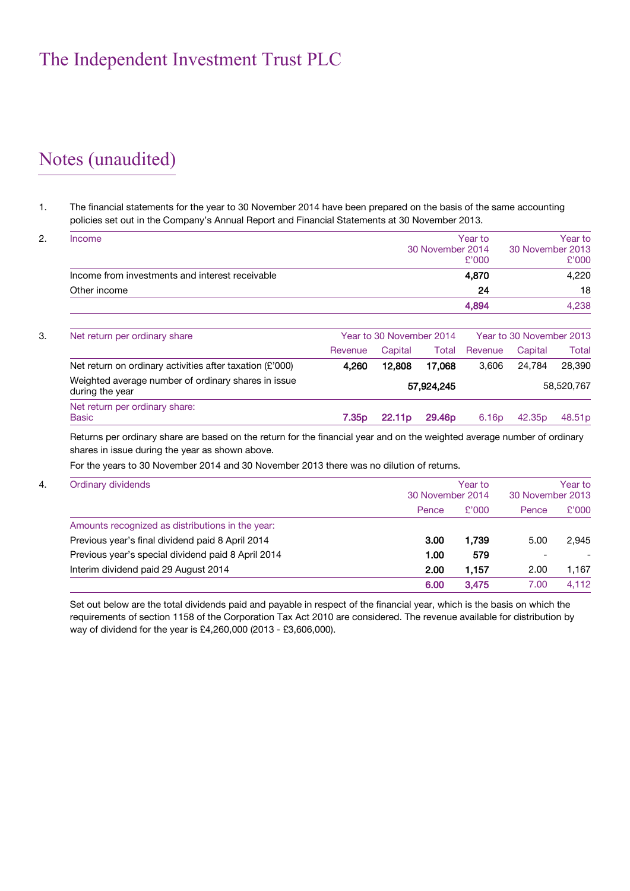## Notes (unaudited)

#### 1. The financial statements for the year to 30 November 2014 have been prepared on the basis of the same accounting policies set out in the Company's Annual Report and Financial Statements at 30 November 2013.

| Income                                                                 |                   |                          | 30 November 2014   | Year to<br>£'000  | 30 November 2013         | Year to<br>£'000 |
|------------------------------------------------------------------------|-------------------|--------------------------|--------------------|-------------------|--------------------------|------------------|
| Income from investments and interest receivable                        |                   |                          |                    | 4,870             |                          | 4,220            |
| Other income                                                           |                   |                          |                    | 24                |                          | 18               |
|                                                                        |                   |                          |                    | 4,894             |                          | 4,238            |
| Net return per ordinary share                                          |                   | Year to 30 November 2014 |                    |                   | Year to 30 November 2013 |                  |
|                                                                        | Revenue           | Capital                  | Total              | Revenue           | Capital                  | Total            |
| Net return on ordinary activities after taxation $(E'000)$             | 4,260             | 12,808                   | 17,068             | 3,606             | 24.784                   | 28,390           |
| Weighted average number of ordinary shares in issue<br>during the year |                   |                          | 57,924,245         |                   |                          | 58,520,767       |
| Net return per ordinary share:<br><b>Basic</b>                         | 7.35 <sub>p</sub> | 22.11 <sub>p</sub>       | 29.46 <sub>p</sub> | 6.16 <sub>p</sub> | 42.35 <sub>p</sub>       | 48.51p           |

Returns per ordinary share are based on the return for the financial year and on the weighted average number of ordinary shares in issue during the year as shown above.

For the years to 30 November 2014 and 30 November 2013 there was no dilution of returns.

| <b>Ordinary dividends</b>                          | 30 November 2014 | Year to<br>30 November 2013 |                          |       |
|----------------------------------------------------|------------------|-----------------------------|--------------------------|-------|
|                                                    | Pence            | £'000                       | Pence                    | £'000 |
| Amounts recognized as distributions in the year:   |                  |                             |                          |       |
| Previous year's final dividend paid 8 April 2014   | 3.00             | 1.739                       | 5.00                     | 2.945 |
| Previous year's special dividend paid 8 April 2014 | 1.00             | 579                         | $\overline{\phantom{0}}$ |       |
| Interim dividend paid 29 August 2014               | 2.00             | 1.157                       | 2.00                     | 1,167 |
|                                                    | 6.00             | 3,475                       | 7.00                     | 4.112 |

Set out below are the total dividends paid and payable in respect of the financial year, which is the basis on which the requirements of section 1158 of the Corporation Tax Act 2010 are considered. The revenue available for distribution by way of dividend for the year is £4,260,000 (2013 - £3,606,000).